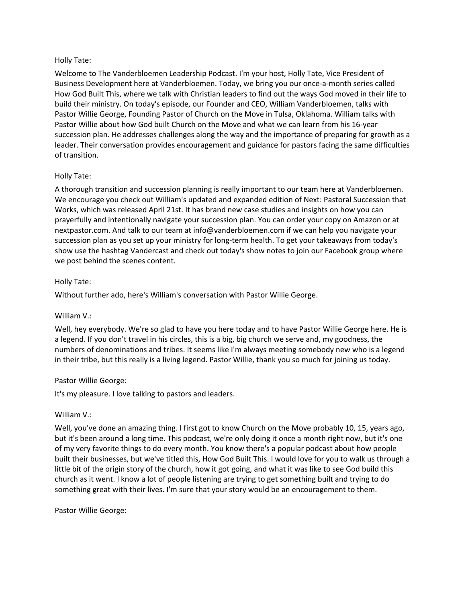### Holly Tate:

Welcome to The Vanderbloemen Leadership Podcast. I'm your host, Holly Tate, Vice President of Business Development here at Vanderbloemen. Today, we bring you our once-a-month series called How God Built This, where we talk with Christian leaders to find out the ways God moved in their life to build their ministry. On today's episode, our Founder and CEO, William Vanderbloemen, talks with Pastor Willie George, Founding Pastor of Church on the Move in Tulsa, Oklahoma. William talks with Pastor Willie about how God built Church on the Move and what we can learn from his 16-year succession plan. He addresses challenges along the way and the importance of preparing for growth as a leader. Their conversation provides encouragement and guidance for pastors facing the same difficulties of transition.

## Holly Tate:

A thorough transition and succession planning is really important to our team here at Vanderbloemen. We encourage you check out William's updated and expanded edition of Next: Pastoral Succession that Works, which was released April 21st. It has brand new case studies and insights on how you can prayerfully and intentionally navigate your succession plan. You can order your copy on Amazon or at nextpastor.com. And talk to our team at info@vanderbloemen.com if we can help you navigate your succession plan as you set up your ministry for long-term health. To get your takeaways from today's show use the hashtag Vandercast and check out today's show notes to join our Facebook group where we post behind the scenes content.

### Holly Tate:

Without further ado, here's William's conversation with Pastor Willie George.

## William V.:

Well, hey everybody. We're so glad to have you here today and to have Pastor Willie George here. He is a legend. If you don't travel in his circles, this is a big, big church we serve and, my goodness, the numbers of denominations and tribes. It seems like I'm always meeting somebody new who is a legend in their tribe, but this really is a living legend. Pastor Willie, thank you so much for joining us today.

## Pastor Willie George:

It's my pleasure. I love talking to pastors and leaders.

## William V.:

Well, you've done an amazing thing. I first got to know Church on the Move probably 10, 15, years ago, but it's been around a long time. This podcast, we're only doing it once a month right now, but it's one of my very favorite things to do every month. You know there's a popular podcast about how people built their businesses, but we've titled this, How God Built This. I would love for you to walk us through a little bit of the origin story of the church, how it got going, and what it was like to see God build this church as it went. I know a lot of people listening are trying to get something built and trying to do something great with their lives. I'm sure that your story would be an encouragement to them.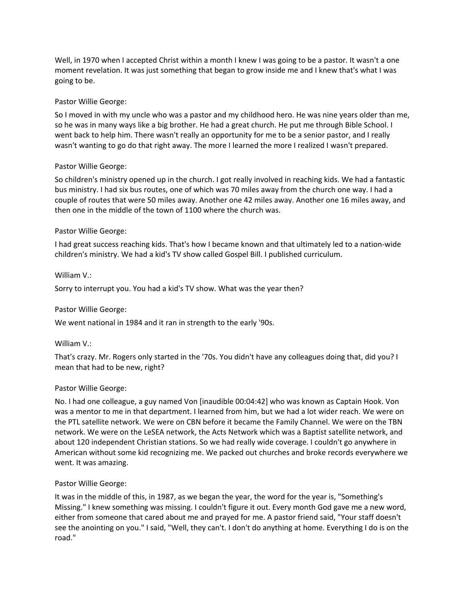Well, in 1970 when I accepted Christ within a month I knew I was going to be a pastor. It wasn't a one moment revelation. It was just something that began to grow inside me and I knew that's what I was going to be.

# Pastor Willie George:

So I moved in with my uncle who was a pastor and my childhood hero. He was nine years older than me, so he was in many ways like a big brother. He had a great church. He put me through Bible School. I went back to help him. There wasn't really an opportunity for me to be a senior pastor, and I really wasn't wanting to go do that right away. The more I learned the more I realized I wasn't prepared.

## Pastor Willie George:

So children's ministry opened up in the church. I got really involved in reaching kids. We had a fantastic bus ministry. I had six bus routes, one of which was 70 miles away from the church one way. I had a couple of routes that were 50 miles away. Another one 42 miles away. Another one 16 miles away, and then one in the middle of the town of 1100 where the church was.

# Pastor Willie George:

I had great success reaching kids. That's how I became known and that ultimately led to a nation-wide children's ministry. We had a kid's TV show called Gospel Bill. I published curriculum.

## William V.:

Sorry to interrupt you. You had a kid's TV show. What was the year then?

## Pastor Willie George:

We went national in 1984 and it ran in strength to the early '90s.

## William V.:

That's crazy. Mr. Rogers only started in the '70s. You didn't have any colleagues doing that, did you? I mean that had to be new, right?

## Pastor Willie George:

No. I had one colleague, a guy named Von [inaudible 00:04:42] who was known as Captain Hook. Von was a mentor to me in that department. I learned from him, but we had a lot wider reach. We were on the PTL satellite network. We were on CBN before it became the Family Channel. We were on the TBN network. We were on the LeSEA network, the Acts Network which was a Baptist satellite network, and about 120 independent Christian stations. So we had really wide coverage. I couldn't go anywhere in American without some kid recognizing me. We packed out churches and broke records everywhere we went. It was amazing.

## Pastor Willie George:

It was in the middle of this, in 1987, as we began the year, the word for the year is, "Something's Missing." I knew something was missing. I couldn't figure it out. Every month God gave me a new word, either from someone that cared about me and prayed for me. A pastor friend said, "Your staff doesn't see the anointing on you." I said, "Well, they can't. I don't do anything at home. Everything I do is on the road."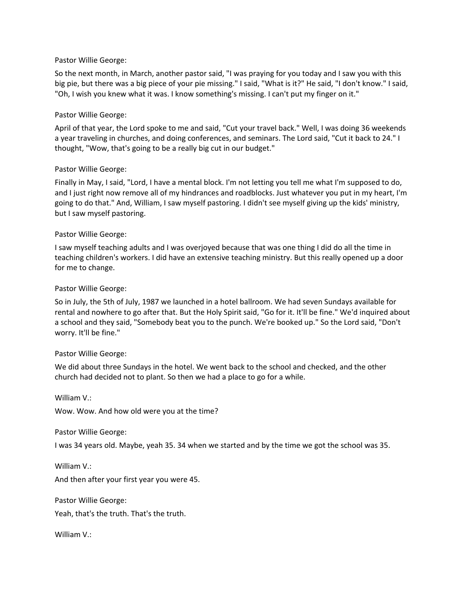### Pastor Willie George:

So the next month, in March, another pastor said, "I was praying for you today and I saw you with this big pie, but there was a big piece of your pie missing." I said, "What is it?" He said, "I don't know." I said, "Oh, I wish you knew what it was. I know something's missing. I can't put my finger on it."

## Pastor Willie George:

April of that year, the Lord spoke to me and said, "Cut your travel back." Well, I was doing 36 weekends a year traveling in churches, and doing conferences, and seminars. The Lord said, "Cut it back to 24." I thought, "Wow, that's going to be a really big cut in our budget."

### Pastor Willie George:

Finally in May, I said, "Lord, I have a mental block. I'm not letting you tell me what I'm supposed to do, and I just right now remove all of my hindrances and roadblocks. Just whatever you put in my heart, I'm going to do that." And, William, I saw myself pastoring. I didn't see myself giving up the kids' ministry, but I saw myself pastoring.

### Pastor Willie George:

I saw myself teaching adults and I was overjoyed because that was one thing I did do all the time in teaching children's workers. I did have an extensive teaching ministry. But this really opened up a door for me to change.

### Pastor Willie George:

So in July, the 5th of July, 1987 we launched in a hotel ballroom. We had seven Sundays available for rental and nowhere to go after that. But the Holy Spirit said, "Go for it. It'll be fine." We'd inquired about a school and they said, "Somebody beat you to the punch. We're booked up." So the Lord said, "Don't worry. It'll be fine."

## Pastor Willie George:

We did about three Sundays in the hotel. We went back to the school and checked, and the other church had decided not to plant. So then we had a place to go for a while.

William V.:

William V.:

Wow. Wow. And how old were you at the time?

Pastor Willie George:

I was 34 years old. Maybe, yeah 35. 34 when we started and by the time we got the school was 35.

And then after your first year you were 45.

Pastor Willie George:

Yeah, that's the truth. That's the truth.

William V.: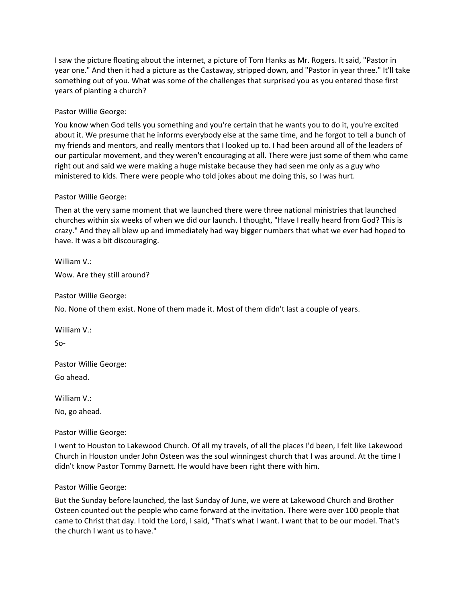I saw the picture floating about the internet, a picture of Tom Hanks as Mr. Rogers. It said, "Pastor in year one." And then it had a picture as the Castaway, stripped down, and "Pastor in year three." It'll take something out of you. What was some of the challenges that surprised you as you entered those first years of planting a church?

# Pastor Willie George:

You know when God tells you something and you're certain that he wants you to do it, you're excited about it. We presume that he informs everybody else at the same time, and he forgot to tell a bunch of my friends and mentors, and really mentors that I looked up to. I had been around all of the leaders of our particular movement, and they weren't encouraging at all. There were just some of them who came right out and said we were making a huge mistake because they had seen me only as a guy who ministered to kids. There were people who told jokes about me doing this, so I was hurt.

## Pastor Willie George:

Then at the very same moment that we launched there were three national ministries that launched churches within six weeks of when we did our launch. I thought, "Have I really heard from God? This is crazy." And they all blew up and immediately had way bigger numbers that what we ever had hoped to have. It was a bit discouraging.

William V.: Wow. Are they still around?

Pastor Willie George:

No. None of them exist. None of them made it. Most of them didn't last a couple of years.

William V.:

So-

Pastor Willie George: Go ahead.

William V.:

No, go ahead.

Pastor Willie George:

I went to Houston to Lakewood Church. Of all my travels, of all the places I'd been, I felt like Lakewood Church in Houston under John Osteen was the soul winningest church that I was around. At the time I didn't know Pastor Tommy Barnett. He would have been right there with him.

## Pastor Willie George:

But the Sunday before launched, the last Sunday of June, we were at Lakewood Church and Brother Osteen counted out the people who came forward at the invitation. There were over 100 people that came to Christ that day. I told the Lord, I said, "That's what I want. I want that to be our model. That's the church I want us to have."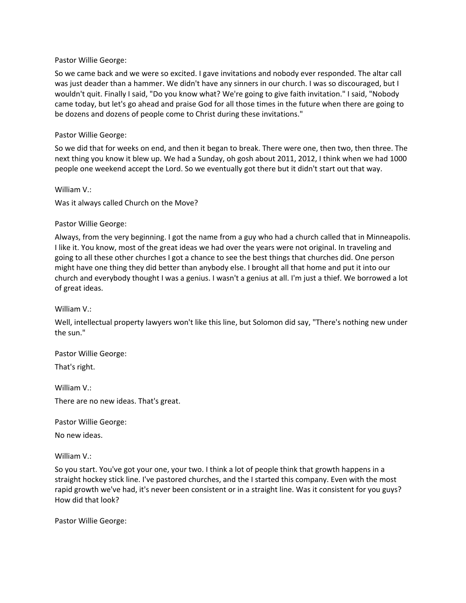#### Pastor Willie George:

So we came back and we were so excited. I gave invitations and nobody ever responded. The altar call was just deader than a hammer. We didn't have any sinners in our church. I was so discouraged, but I wouldn't quit. Finally I said, "Do you know what? We're going to give faith invitation." I said, "Nobody came today, but let's go ahead and praise God for all those times in the future when there are going to be dozens and dozens of people come to Christ during these invitations."

### Pastor Willie George:

So we did that for weeks on end, and then it began to break. There were one, then two, then three. The next thing you know it blew up. We had a Sunday, oh gosh about 2011, 2012, I think when we had 1000 people one weekend accept the Lord. So we eventually got there but it didn't start out that way.

### William V.:

Was it always called Church on the Move?

### Pastor Willie George:

Always, from the very beginning. I got the name from a guy who had a church called that in Minneapolis. I like it. You know, most of the great ideas we had over the years were not original. In traveling and going to all these other churches I got a chance to see the best things that churches did. One person might have one thing they did better than anybody else. I brought all that home and put it into our church and everybody thought I was a genius. I wasn't a genius at all. I'm just a thief. We borrowed a lot of great ideas.

## William V.:

Well, intellectual property lawyers won't like this line, but Solomon did say, "There's nothing new under the sun."

## Pastor Willie George:

That's right.

William V.:

There are no new ideas. That's great.

Pastor Willie George:

No new ideas.

William V.:

So you start. You've got your one, your two. I think a lot of people think that growth happens in a straight hockey stick line. I've pastored churches, and the I started this company. Even with the most rapid growth we've had, it's never been consistent or in a straight line. Was it consistent for you guys? How did that look?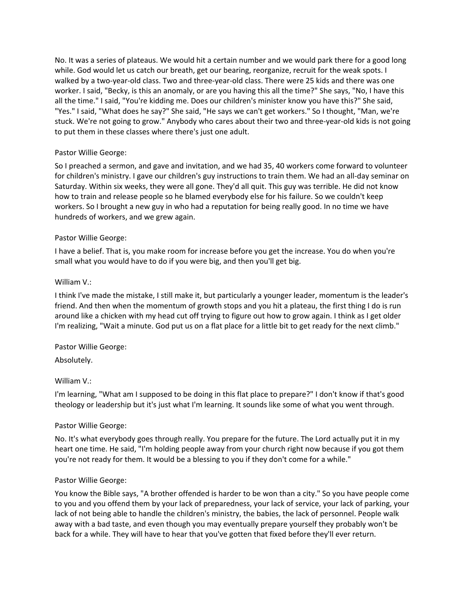No. It was a series of plateaus. We would hit a certain number and we would park there for a good long while. God would let us catch our breath, get our bearing, reorganize, recruit for the weak spots. I walked by a two-year-old class. Two and three-year-old class. There were 25 kids and there was one worker. I said, "Becky, is this an anomaly, or are you having this all the time?" She says, "No, I have this all the time." I said, "You're kidding me. Does our children's minister know you have this?" She said, "Yes." I said, "What does he say?" She said, "He says we can't get workers." So I thought, "Man, we're stuck. We're not going to grow." Anybody who cares about their two and three-year-old kids is not going to put them in these classes where there's just one adult.

# Pastor Willie George:

So I preached a sermon, and gave and invitation, and we had 35, 40 workers come forward to volunteer for children's ministry. I gave our children's guy instructions to train them. We had an all-day seminar on Saturday. Within six weeks, they were all gone. They'd all quit. This guy was terrible. He did not know how to train and release people so he blamed everybody else for his failure. So we couldn't keep workers. So I brought a new guy in who had a reputation for being really good. In no time we have hundreds of workers, and we grew again.

## Pastor Willie George:

I have a belief. That is, you make room for increase before you get the increase. You do when you're small what you would have to do if you were big, and then you'll get big.

## William V.:

I think I've made the mistake, I still make it, but particularly a younger leader, momentum is the leader's friend. And then when the momentum of growth stops and you hit a plateau, the first thing I do is run around like a chicken with my head cut off trying to figure out how to grow again. I think as I get older I'm realizing, "Wait a minute. God put us on a flat place for a little bit to get ready for the next climb."

## Pastor Willie George:

Absolutely.

## William V.:

I'm learning, "What am I supposed to be doing in this flat place to prepare?" I don't know if that's good theology or leadership but it's just what I'm learning. It sounds like some of what you went through.

## Pastor Willie George:

No. It's what everybody goes through really. You prepare for the future. The Lord actually put it in my heart one time. He said, "I'm holding people away from your church right now because if you got them you're not ready for them. It would be a blessing to you if they don't come for a while."

## Pastor Willie George:

You know the Bible says, "A brother offended is harder to be won than a city." So you have people come to you and you offend them by your lack of preparedness, your lack of service, your lack of parking, your lack of not being able to handle the children's ministry, the babies, the lack of personnel. People walk away with a bad taste, and even though you may eventually prepare yourself they probably won't be back for a while. They will have to hear that you've gotten that fixed before they'll ever return.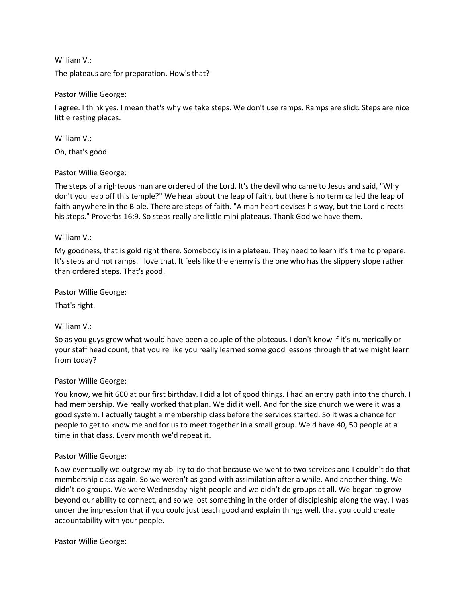### William V.:

The plateaus are for preparation. How's that?

### Pastor Willie George:

I agree. I think yes. I mean that's why we take steps. We don't use ramps. Ramps are slick. Steps are nice little resting places.

William V.:

Oh, that's good.

### Pastor Willie George:

The steps of a righteous man are ordered of the Lord. It's the devil who came to Jesus and said, "Why don't you leap off this temple?" We hear about the leap of faith, but there is no term called the leap of faith anywhere in the Bible. There are steps of faith. "A man heart devises his way, but the Lord directs his steps." Proverbs 16:9. So steps really are little mini plateaus. Thank God we have them.

### William V.:

My goodness, that is gold right there. Somebody is in a plateau. They need to learn it's time to prepare. It's steps and not ramps. I love that. It feels like the enemy is the one who has the slippery slope rather than ordered steps. That's good.

Pastor Willie George:

That's right.

## William V.:

So as you guys grew what would have been a couple of the plateaus. I don't know if it's numerically or your staff head count, that you're like you really learned some good lessons through that we might learn from today?

#### Pastor Willie George:

You know, we hit 600 at our first birthday. I did a lot of good things. I had an entry path into the church. I had membership. We really worked that plan. We did it well. And for the size church we were it was a good system. I actually taught a membership class before the services started. So it was a chance for people to get to know me and for us to meet together in a small group. We'd have 40, 50 people at a time in that class. Every month we'd repeat it.

#### Pastor Willie George:

Now eventually we outgrew my ability to do that because we went to two services and I couldn't do that membership class again. So we weren't as good with assimilation after a while. And another thing. We didn't do groups. We were Wednesday night people and we didn't do groups at all. We began to grow beyond our ability to connect, and so we lost something in the order of discipleship along the way. I was under the impression that if you could just teach good and explain things well, that you could create accountability with your people.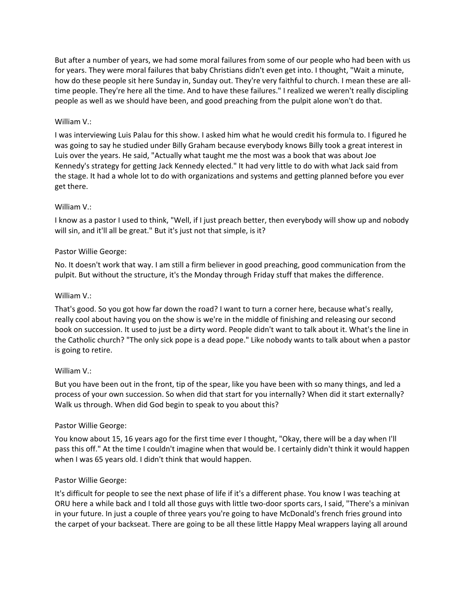But after a number of years, we had some moral failures from some of our people who had been with us for years. They were moral failures that baby Christians didn't even get into. I thought, "Wait a minute, how do these people sit here Sunday in, Sunday out. They're very faithful to church. I mean these are alltime people. They're here all the time. And to have these failures." I realized we weren't really discipling people as well as we should have been, and good preaching from the pulpit alone won't do that.

# William V.:

I was interviewing Luis Palau for this show. I asked him what he would credit his formula to. I figured he was going to say he studied under Billy Graham because everybody knows Billy took a great interest in Luis over the years. He said, "Actually what taught me the most was a book that was about Joe Kennedy's strategy for getting Jack Kennedy elected." It had very little to do with what Jack said from the stage. It had a whole lot to do with organizations and systems and getting planned before you ever get there.

# William V.:

I know as a pastor I used to think, "Well, if I just preach better, then everybody will show up and nobody will sin, and it'll all be great." But it's just not that simple, is it?

# Pastor Willie George:

No. It doesn't work that way. I am still a firm believer in good preaching, good communication from the pulpit. But without the structure, it's the Monday through Friday stuff that makes the difference.

## William V.:

That's good. So you got how far down the road? I want to turn a corner here, because what's really, really cool about having you on the show is we're in the middle of finishing and releasing our second book on succession. It used to just be a dirty word. People didn't want to talk about it. What's the line in the Catholic church? "The only sick pope is a dead pope." Like nobody wants to talk about when a pastor is going to retire.

## William V.:

But you have been out in the front, tip of the spear, like you have been with so many things, and led a process of your own succession. So when did that start for you internally? When did it start externally? Walk us through. When did God begin to speak to you about this?

## Pastor Willie George:

You know about 15, 16 years ago for the first time ever I thought, "Okay, there will be a day when I'll pass this off." At the time I couldn't imagine when that would be. I certainly didn't think it would happen when I was 65 years old. I didn't think that would happen.

## Pastor Willie George:

It's difficult for people to see the next phase of life if it's a different phase. You know I was teaching at ORU here a while back and I told all those guys with little two-door sports cars, I said, "There's a minivan in your future. In just a couple of three years you're going to have McDonald's french fries ground into the carpet of your backseat. There are going to be all these little Happy Meal wrappers laying all around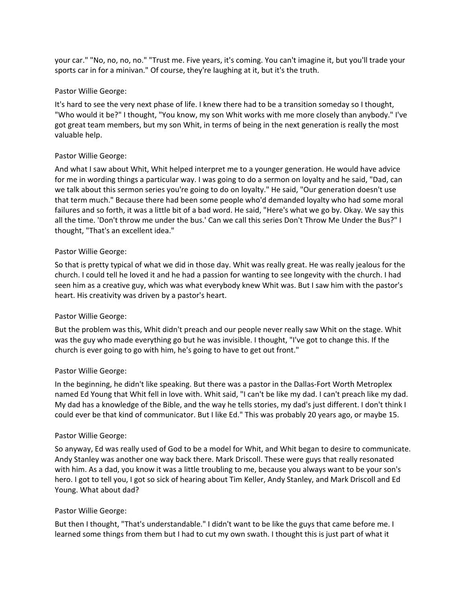your car." "No, no, no, no." "Trust me. Five years, it's coming. You can't imagine it, but you'll trade your sports car in for a minivan." Of course, they're laughing at it, but it's the truth.

## Pastor Willie George:

It's hard to see the very next phase of life. I knew there had to be a transition someday so I thought, "Who would it be?" I thought, "You know, my son Whit works with me more closely than anybody." I've got great team members, but my son Whit, in terms of being in the next generation is really the most valuable help.

# Pastor Willie George:

And what I saw about Whit, Whit helped interpret me to a younger generation. He would have advice for me in wording things a particular way. I was going to do a sermon on loyalty and he said, "Dad, can we talk about this sermon series you're going to do on loyalty." He said, "Our generation doesn't use that term much." Because there had been some people who'd demanded loyalty who had some moral failures and so forth, it was a little bit of a bad word. He said, "Here's what we go by. Okay. We say this all the time. 'Don't throw me under the bus.' Can we call this series Don't Throw Me Under the Bus?" I thought, "That's an excellent idea."

# Pastor Willie George:

So that is pretty typical of what we did in those day. Whit was really great. He was really jealous for the church. I could tell he loved it and he had a passion for wanting to see longevity with the church. I had seen him as a creative guy, which was what everybody knew Whit was. But I saw him with the pastor's heart. His creativity was driven by a pastor's heart.

# Pastor Willie George:

But the problem was this, Whit didn't preach and our people never really saw Whit on the stage. Whit was the guy who made everything go but he was invisible. I thought, "I've got to change this. If the church is ever going to go with him, he's going to have to get out front."

## Pastor Willie George:

In the beginning, he didn't like speaking. But there was a pastor in the Dallas-Fort Worth Metroplex named Ed Young that Whit fell in love with. Whit said, "I can't be like my dad. I can't preach like my dad. My dad has a knowledge of the Bible, and the way he tells stories, my dad's just different. I don't think I could ever be that kind of communicator. But I like Ed." This was probably 20 years ago, or maybe 15.

## Pastor Willie George:

So anyway, Ed was really used of God to be a model for Whit, and Whit began to desire to communicate. Andy Stanley was another one way back there. Mark Driscoll. These were guys that really resonated with him. As a dad, you know it was a little troubling to me, because you always want to be your son's hero. I got to tell you, I got so sick of hearing about Tim Keller, Andy Stanley, and Mark Driscoll and Ed Young. What about dad?

## Pastor Willie George:

But then I thought, "That's understandable." I didn't want to be like the guys that came before me. I learned some things from them but I had to cut my own swath. I thought this is just part of what it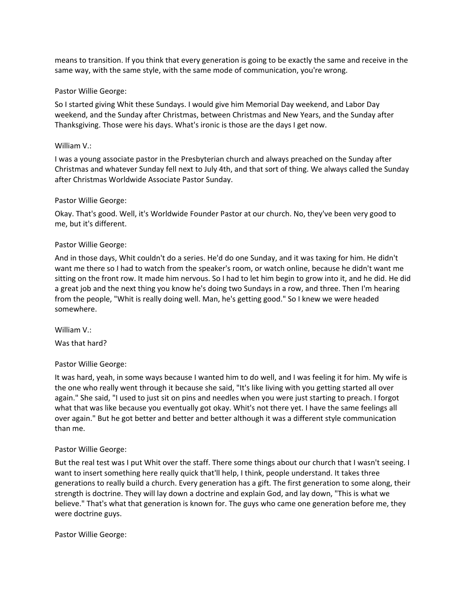means to transition. If you think that every generation is going to be exactly the same and receive in the same way, with the same style, with the same mode of communication, you're wrong.

### Pastor Willie George:

So I started giving Whit these Sundays. I would give him Memorial Day weekend, and Labor Day weekend, and the Sunday after Christmas, between Christmas and New Years, and the Sunday after Thanksgiving. Those were his days. What's ironic is those are the days I get now.

#### William V.:

I was a young associate pastor in the Presbyterian church and always preached on the Sunday after Christmas and whatever Sunday fell next to July 4th, and that sort of thing. We always called the Sunday after Christmas Worldwide Associate Pastor Sunday.

### Pastor Willie George:

Okay. That's good. Well, it's Worldwide Founder Pastor at our church. No, they've been very good to me, but it's different.

### Pastor Willie George:

And in those days, Whit couldn't do a series. He'd do one Sunday, and it was taxing for him. He didn't want me there so I had to watch from the speaker's room, or watch online, because he didn't want me sitting on the front row. It made him nervous. So I had to let him begin to grow into it, and he did. He did a great job and the next thing you know he's doing two Sundays in a row, and three. Then I'm hearing from the people, "Whit is really doing well. Man, he's getting good." So I knew we were headed somewhere.

William V.: Was that hard?

## Pastor Willie George:

It was hard, yeah, in some ways because I wanted him to do well, and I was feeling it for him. My wife is the one who really went through it because she said, "It's like living with you getting started all over again." She said, "I used to just sit on pins and needles when you were just starting to preach. I forgot what that was like because you eventually got okay. Whit's not there yet. I have the same feelings all over again." But he got better and better and better although it was a different style communication than me.

#### Pastor Willie George:

But the real test was I put Whit over the staff. There some things about our church that I wasn't seeing. I want to insert something here really quick that'll help, I think, people understand. It takes three generations to really build a church. Every generation has a gift. The first generation to some along, their strength is doctrine. They will lay down a doctrine and explain God, and lay down, "This is what we believe." That's what that generation is known for. The guys who came one generation before me, they were doctrine guys.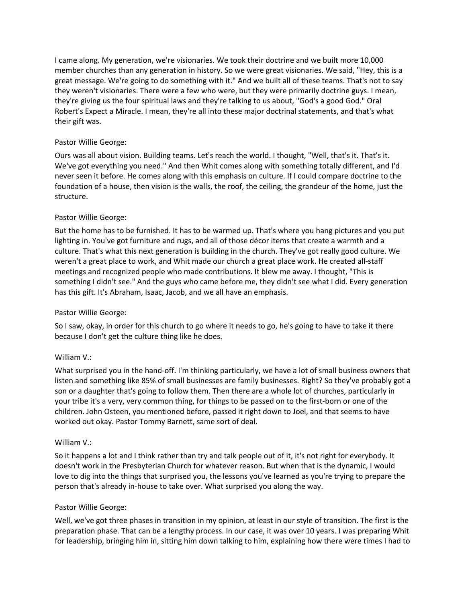I came along. My generation, we're visionaries. We took their doctrine and we built more 10,000 member churches than any generation in history. So we were great visionaries. We said, "Hey, this is a great message. We're going to do something with it." And we built all of these teams. That's not to say they weren't visionaries. There were a few who were, but they were primarily doctrine guys. I mean, they're giving us the four spiritual laws and they're talking to us about, "God's a good God." Oral Robert's Expect a Miracle. I mean, they're all into these major doctrinal statements, and that's what their gift was.

# Pastor Willie George:

Ours was all about vision. Building teams. Let's reach the world. I thought, "Well, that's it. That's it. We've got everything you need." And then Whit comes along with something totally different, and I'd never seen it before. He comes along with this emphasis on culture. If I could compare doctrine to the foundation of a house, then vision is the walls, the roof, the ceiling, the grandeur of the home, just the structure.

# Pastor Willie George:

But the home has to be furnished. It has to be warmed up. That's where you hang pictures and you put lighting in. You've got furniture and rugs, and all of those décor items that create a warmth and a culture. That's what this next generation is building in the church. They've got really good culture. We weren't a great place to work, and Whit made our church a great place work. He created all-staff meetings and recognized people who made contributions. It blew me away. I thought, "This is something I didn't see." And the guys who came before me, they didn't see what I did. Every generation has this gift. It's Abraham, Isaac, Jacob, and we all have an emphasis.

## Pastor Willie George:

So I saw, okay, in order for this church to go where it needs to go, he's going to have to take it there because I don't get the culture thing like he does.

## William V.:

What surprised you in the hand-off. I'm thinking particularly, we have a lot of small business owners that listen and something like 85% of small businesses are family businesses. Right? So they've probably got a son or a daughter that's going to follow them. Then there are a whole lot of churches, particularly in your tribe it's a very, very common thing, for things to be passed on to the first-born or one of the children. John Osteen, you mentioned before, passed it right down to Joel, and that seems to have worked out okay. Pastor Tommy Barnett, same sort of deal.

## William V.:

So it happens a lot and I think rather than try and talk people out of it, it's not right for everybody. It doesn't work in the Presbyterian Church for whatever reason. But when that is the dynamic, I would love to dig into the things that surprised you, the lessons you've learned as you're trying to prepare the person that's already in-house to take over. What surprised you along the way.

## Pastor Willie George:

Well, we've got three phases in transition in my opinion, at least in our style of transition. The first is the preparation phase. That can be a lengthy process. In our case, it was over 10 years. I was preparing Whit for leadership, bringing him in, sitting him down talking to him, explaining how there were times I had to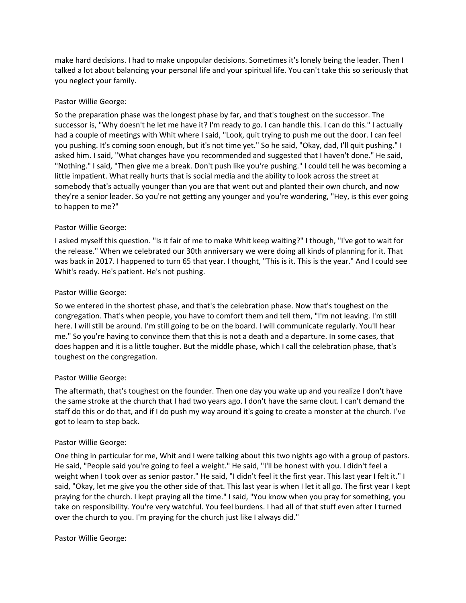make hard decisions. I had to make unpopular decisions. Sometimes it's lonely being the leader. Then I talked a lot about balancing your personal life and your spiritual life. You can't take this so seriously that you neglect your family.

# Pastor Willie George:

So the preparation phase was the longest phase by far, and that's toughest on the successor. The successor is, "Why doesn't he let me have it? I'm ready to go. I can handle this. I can do this." I actually had a couple of meetings with Whit where I said, "Look, quit trying to push me out the door. I can feel you pushing. It's coming soon enough, but it's not time yet." So he said, "Okay, dad, I'll quit pushing." I asked him. I said, "What changes have you recommended and suggested that I haven't done." He said, "Nothing." I said, "Then give me a break. Don't push like you're pushing." I could tell he was becoming a little impatient. What really hurts that is social media and the ability to look across the street at somebody that's actually younger than you are that went out and planted their own church, and now they're a senior leader. So you're not getting any younger and you're wondering, "Hey, is this ever going to happen to me?"

# Pastor Willie George:

I asked myself this question. "Is it fair of me to make Whit keep waiting?" I though, "I've got to wait for the release." When we celebrated our 30th anniversary we were doing all kinds of planning for it. That was back in 2017. I happened to turn 65 that year. I thought, "This is it. This is the year." And I could see Whit's ready. He's patient. He's not pushing.

## Pastor Willie George:

So we entered in the shortest phase, and that's the celebration phase. Now that's toughest on the congregation. That's when people, you have to comfort them and tell them, "I'm not leaving. I'm still here. I will still be around. I'm still going to be on the board. I will communicate regularly. You'll hear me." So you're having to convince them that this is not a death and a departure. In some cases, that does happen and it is a little tougher. But the middle phase, which I call the celebration phase, that's toughest on the congregation.

## Pastor Willie George:

The aftermath, that's toughest on the founder. Then one day you wake up and you realize I don't have the same stroke at the church that I had two years ago. I don't have the same clout. I can't demand the staff do this or do that, and if I do push my way around it's going to create a monster at the church. I've got to learn to step back.

## Pastor Willie George:

One thing in particular for me, Whit and I were talking about this two nights ago with a group of pastors. He said, "People said you're going to feel a weight." He said, "I'll be honest with you. I didn't feel a weight when I took over as senior pastor." He said, "I didn't feel it the first year. This last year I felt it." I said, "Okay, let me give you the other side of that. This last year is when I let it all go. The first year I kept praying for the church. I kept praying all the time." I said, "You know when you pray for something, you take on responsibility. You're very watchful. You feel burdens. I had all of that stuff even after I turned over the church to you. I'm praying for the church just like I always did."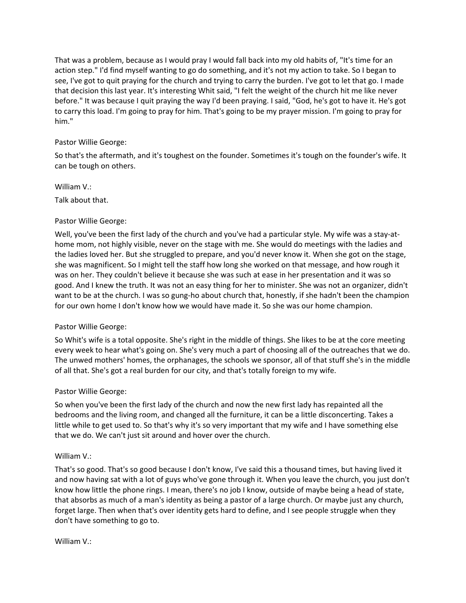That was a problem, because as I would pray I would fall back into my old habits of, "It's time for an action step." I'd find myself wanting to go do something, and it's not my action to take. So I began to see, I've got to quit praying for the church and trying to carry the burden. I've got to let that go. I made that decision this last year. It's interesting Whit said, "I felt the weight of the church hit me like never before." It was because I quit praying the way I'd been praying. I said, "God, he's got to have it. He's got to carry this load. I'm going to pray for him. That's going to be my prayer mission. I'm going to pray for him."

# Pastor Willie George:

So that's the aftermath, and it's toughest on the founder. Sometimes it's tough on the founder's wife. It can be tough on others.

William V.:

Talk about that.

## Pastor Willie George:

Well, you've been the first lady of the church and you've had a particular style. My wife was a stay-athome mom, not highly visible, never on the stage with me. She would do meetings with the ladies and the ladies loved her. But she struggled to prepare, and you'd never know it. When she got on the stage, she was magnificent. So I might tell the staff how long she worked on that message, and how rough it was on her. They couldn't believe it because she was such at ease in her presentation and it was so good. And I knew the truth. It was not an easy thing for her to minister. She was not an organizer, didn't want to be at the church. I was so gung-ho about church that, honestly, if she hadn't been the champion for our own home I don't know how we would have made it. So she was our home champion.

## Pastor Willie George:

So Whit's wife is a total opposite. She's right in the middle of things. She likes to be at the core meeting every week to hear what's going on. She's very much a part of choosing all of the outreaches that we do. The unwed mothers' homes, the orphanages, the schools we sponsor, all of that stuff she's in the middle of all that. She's got a real burden for our city, and that's totally foreign to my wife.

## Pastor Willie George:

So when you've been the first lady of the church and now the new first lady has repainted all the bedrooms and the living room, and changed all the furniture, it can be a little disconcerting. Takes a little while to get used to. So that's why it's so very important that my wife and I have something else that we do. We can't just sit around and hover over the church.

## William V.:

That's so good. That's so good because I don't know, I've said this a thousand times, but having lived it and now having sat with a lot of guys who've gone through it. When you leave the church, you just don't know how little the phone rings. I mean, there's no job I know, outside of maybe being a head of state, that absorbs as much of a man's identity as being a pastor of a large church. Or maybe just any church, forget large. Then when that's over identity gets hard to define, and I see people struggle when they don't have something to go to.

William V.: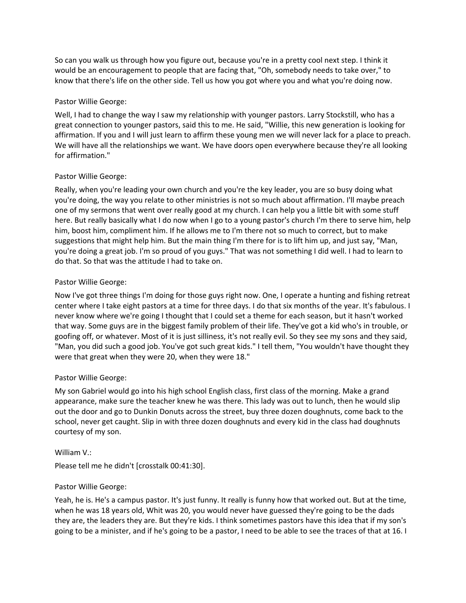So can you walk us through how you figure out, because you're in a pretty cool next step. I think it would be an encouragement to people that are facing that, "Oh, somebody needs to take over," to know that there's life on the other side. Tell us how you got where you and what you're doing now.

## Pastor Willie George:

Well, I had to change the way I saw my relationship with younger pastors. Larry Stockstill, who has a great connection to younger pastors, said this to me. He said, "Willie, this new generation is looking for affirmation. If you and I will just learn to affirm these young men we will never lack for a place to preach. We will have all the relationships we want. We have doors open everywhere because they're all looking for affirmation."

### Pastor Willie George:

Really, when you're leading your own church and you're the key leader, you are so busy doing what you're doing, the way you relate to other ministries is not so much about affirmation. I'll maybe preach one of my sermons that went over really good at my church. I can help you a little bit with some stuff here. But really basically what I do now when I go to a young pastor's church I'm there to serve him, help him, boost him, compliment him. If he allows me to I'm there not so much to correct, but to make suggestions that might help him. But the main thing I'm there for is to lift him up, and just say, "Man, you're doing a great job. I'm so proud of you guys." That was not something I did well. I had to learn to do that. So that was the attitude I had to take on.

### Pastor Willie George:

Now I've got three things I'm doing for those guys right now. One, I operate a hunting and fishing retreat center where I take eight pastors at a time for three days. I do that six months of the year. It's fabulous. I never know where we're going I thought that I could set a theme for each season, but it hasn't worked that way. Some guys are in the biggest family problem of their life. They've got a kid who's in trouble, or goofing off, or whatever. Most of it is just silliness, it's not really evil. So they see my sons and they said, "Man, you did such a good job. You've got such great kids." I tell them, "You wouldn't have thought they were that great when they were 20, when they were 18."

## Pastor Willie George:

My son Gabriel would go into his high school English class, first class of the morning. Make a grand appearance, make sure the teacher knew he was there. This lady was out to lunch, then he would slip out the door and go to Dunkin Donuts across the street, buy three dozen doughnuts, come back to the school, never get caught. Slip in with three dozen doughnuts and every kid in the class had doughnuts courtesy of my son.

#### William V.:

Please tell me he didn't [crosstalk 00:41:30].

#### Pastor Willie George:

Yeah, he is. He's a campus pastor. It's just funny. It really is funny how that worked out. But at the time, when he was 18 years old, Whit was 20, you would never have guessed they're going to be the dads they are, the leaders they are. But they're kids. I think sometimes pastors have this idea that if my son's going to be a minister, and if he's going to be a pastor, I need to be able to see the traces of that at 16. I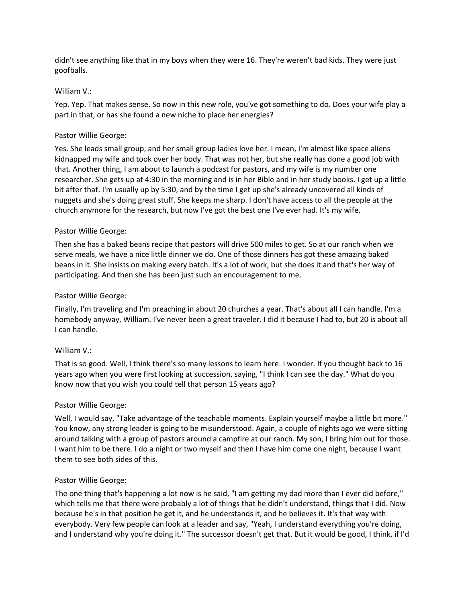didn't see anything like that in my boys when they were 16. They're weren't bad kids. They were just goofballs.

#### William V.:

Yep. Yep. That makes sense. So now in this new role, you've got something to do. Does your wife play a part in that, or has she found a new niche to place her energies?

### Pastor Willie George:

Yes. She leads small group, and her small group ladies love her. I mean, I'm almost like space aliens kidnapped my wife and took over her body. That was not her, but she really has done a good job with that. Another thing, I am about to launch a podcast for pastors, and my wife is my number one researcher. She gets up at 4:30 in the morning and is in her Bible and in her study books. I get up a little bit after that. I'm usually up by 5:30, and by the time I get up she's already uncovered all kinds of nuggets and she's doing great stuff. She keeps me sharp. I don't have access to all the people at the church anymore for the research, but now I've got the best one I've ever had. It's my wife.

### Pastor Willie George:

Then she has a baked beans recipe that pastors will drive 500 miles to get. So at our ranch when we serve meals, we have a nice little dinner we do. One of those dinners has got these amazing baked beans in it. She insists on making every batch. It's a lot of work, but she does it and that's her way of participating. And then she has been just such an encouragement to me.

### Pastor Willie George:

Finally, I'm traveling and I'm preaching in about 20 churches a year. That's about all I can handle. I'm a homebody anyway, William. I've never been a great traveler. I did it because I had to, but 20 is about all I can handle.

#### William V.:

That is so good. Well, I think there's so many lessons to learn here. I wonder. If you thought back to 16 years ago when you were first looking at succession, saying, "I think I can see the day." What do you know now that you wish you could tell that person 15 years ago?

#### Pastor Willie George:

Well, I would say, "Take advantage of the teachable moments. Explain yourself maybe a little bit more." You know, any strong leader is going to be misunderstood. Again, a couple of nights ago we were sitting around talking with a group of pastors around a campfire at our ranch. My son, I bring him out for those. I want him to be there. I do a night or two myself and then I have him come one night, because I want them to see both sides of this.

#### Pastor Willie George:

The one thing that's happening a lot now is he said, "I am getting my dad more than I ever did before," which tells me that there were probably a lot of things that he didn't understand, things that I did. Now because he's in that position he get it, and he understands it, and he believes it. It's that way with everybody. Very few people can look at a leader and say, "Yeah, I understand everything you're doing, and I understand why you're doing it." The successor doesn't get that. But it would be good, I think, if I'd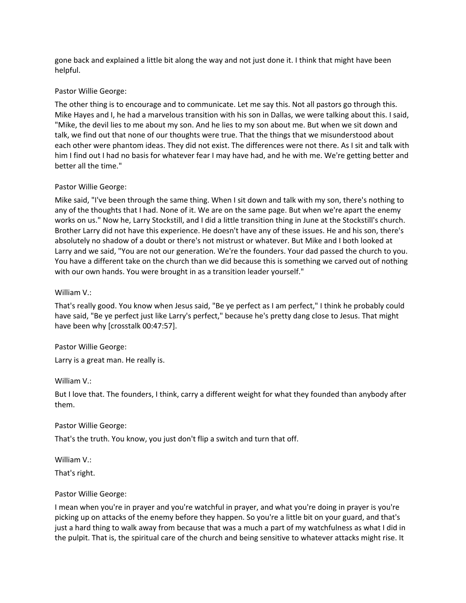gone back and explained a little bit along the way and not just done it. I think that might have been helpful.

## Pastor Willie George:

The other thing is to encourage and to communicate. Let me say this. Not all pastors go through this. Mike Hayes and I, he had a marvelous transition with his son in Dallas, we were talking about this. I said, "Mike, the devil lies to me about my son. And he lies to my son about me. But when we sit down and talk, we find out that none of our thoughts were true. That the things that we misunderstood about each other were phantom ideas. They did not exist. The differences were not there. As I sit and talk with him I find out I had no basis for whatever fear I may have had, and he with me. We're getting better and better all the time."

## Pastor Willie George:

Mike said, "I've been through the same thing. When I sit down and talk with my son, there's nothing to any of the thoughts that I had. None of it. We are on the same page. But when we're apart the enemy works on us." Now he, Larry Stockstill, and I did a little transition thing in June at the Stockstill's church. Brother Larry did not have this experience. He doesn't have any of these issues. He and his son, there's absolutely no shadow of a doubt or there's not mistrust or whatever. But Mike and I both looked at Larry and we said, "You are not our generation. We're the founders. Your dad passed the church to you. You have a different take on the church than we did because this is something we carved out of nothing with our own hands. You were brought in as a transition leader yourself."

## William V.:

That's really good. You know when Jesus said, "Be ye perfect as I am perfect," I think he probably could have said, "Be ye perfect just like Larry's perfect," because he's pretty dang close to Jesus. That might have been why [crosstalk 00:47:57].

## Pastor Willie George:

Larry is a great man. He really is.

## William V.:

But I love that. The founders, I think, carry a different weight for what they founded than anybody after them.

## Pastor Willie George:

That's the truth. You know, you just don't flip a switch and turn that off.

William V.:

That's right.

# Pastor Willie George:

I mean when you're in prayer and you're watchful in prayer, and what you're doing in prayer is you're picking up on attacks of the enemy before they happen. So you're a little bit on your guard, and that's just a hard thing to walk away from because that was a much a part of my watchfulness as what I did in the pulpit. That is, the spiritual care of the church and being sensitive to whatever attacks might rise. It